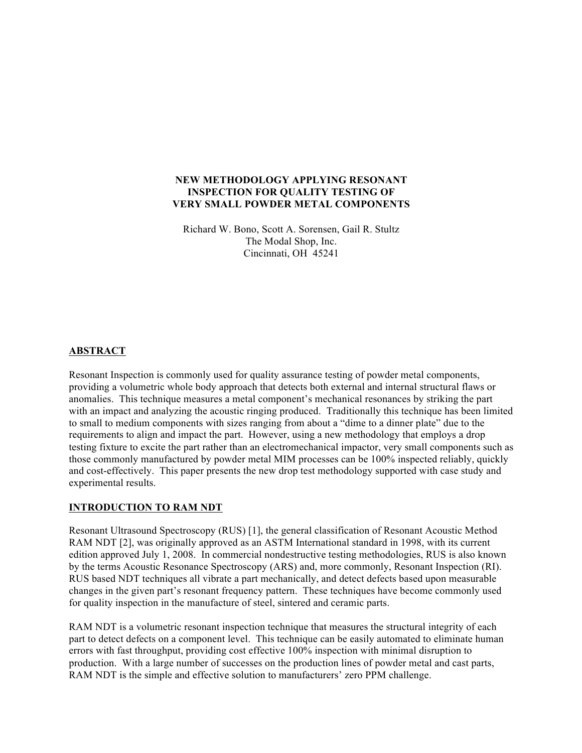### **NEW METHODOLOGY APPLYING RESONANT INSPECTION FOR QUALITY TESTING OF VERY SMALL POWDER METAL COMPONENTS**

Richard W. Bono, Scott A. Sorensen, Gail R. Stultz The Modal Shop, Inc. Cincinnati, OH 45241

## **ABSTRACT**

Resonant Inspection is commonly used for quality assurance testing of powder metal components, providing a volumetric whole body approach that detects both external and internal structural flaws or anomalies. This technique measures a metal component's mechanical resonances by striking the part with an impact and analyzing the acoustic ringing produced. Traditionally this technique has been limited to small to medium components with sizes ranging from about a "dime to a dinner plate" due to the requirements to align and impact the part. However, using a new methodology that employs a drop testing fixture to excite the part rather than an electromechanical impactor, very small components such as those commonly manufactured by powder metal MIM processes can be 100% inspected reliably, quickly and cost-effectively. This paper presents the new drop test methodology supported with case study and experimental results.

### **INTRODUCTION TO RAM NDT**

Resonant Ultrasound Spectroscopy (RUS) [1], the general classification of Resonant Acoustic Method RAM NDT [2], was originally approved as an ASTM International standard in 1998, with its current edition approved July 1, 2008. In commercial nondestructive testing methodologies, RUS is also known by the terms Acoustic Resonance Spectroscopy (ARS) and, more commonly, Resonant Inspection (RI). RUS based NDT techniques all vibrate a part mechanically, and detect defects based upon measurable changes in the given part's resonant frequency pattern. These techniques have become commonly used for quality inspection in the manufacture of steel, sintered and ceramic parts.

RAM NDT is a volumetric resonant inspection technique that measures the structural integrity of each part to detect defects on a component level. This technique can be easily automated to eliminate human errors with fast throughput, providing cost effective 100% inspection with minimal disruption to production. With a large number of successes on the production lines of powder metal and cast parts, RAM NDT is the simple and effective solution to manufacturers' zero PPM challenge.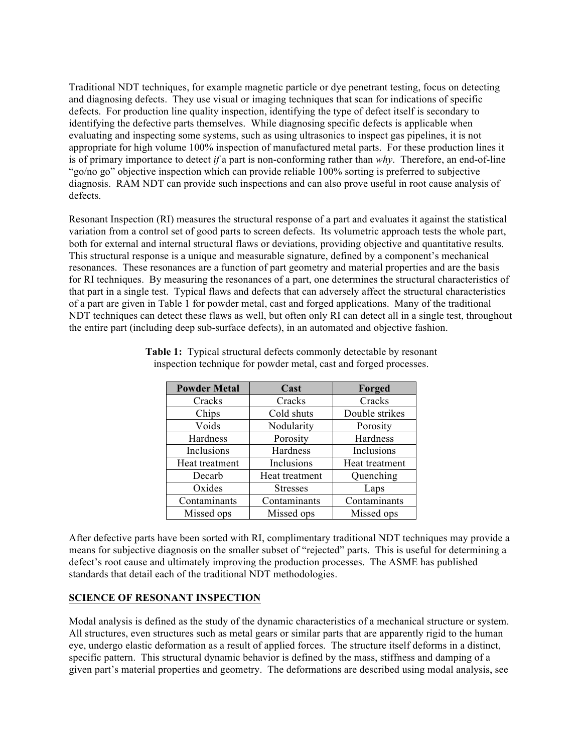Traditional NDT techniques, for example magnetic particle or dye penetrant testing, focus on detecting and diagnosing defects. They use visual or imaging techniques that scan for indications of specific defects. For production line quality inspection, identifying the type of defect itself is secondary to identifying the defective parts themselves. While diagnosing specific defects is applicable when evaluating and inspecting some systems, such as using ultrasonics to inspect gas pipelines, it is not appropriate for high volume 100% inspection of manufactured metal parts. For these production lines it is of primary importance to detect *if* a part is non-conforming rather than *why*. Therefore, an end-of-line "go/no go" objective inspection which can provide reliable 100% sorting is preferred to subjective diagnosis. RAM NDT can provide such inspections and can also prove useful in root cause analysis of defects.

Resonant Inspection (RI) measures the structural response of a part and evaluates it against the statistical variation from a control set of good parts to screen defects. Its volumetric approach tests the whole part, both for external and internal structural flaws or deviations, providing objective and quantitative results. This structural response is a unique and measurable signature, defined by a component's mechanical resonances. These resonances are a function of part geometry and material properties and are the basis for RI techniques. By measuring the resonances of a part, one determines the structural characteristics of that part in a single test. Typical flaws and defects that can adversely affect the structural characteristics of a part are given in Table 1 for powder metal, cast and forged applications. Many of the traditional NDT techniques can detect these flaws as well, but often only RI can detect all in a single test, throughout the entire part (including deep sub-surface defects), in an automated and objective fashion.

| <b>Powder Metal</b> | Cast            | Forged         |
|---------------------|-----------------|----------------|
| Cracks              | Cracks          | Cracks         |
| Chips               | Cold shuts      | Double strikes |
| Voids               | Nodularity      | Porosity       |
| Hardness            | Porosity        | Hardness       |
| Inclusions          | Hardness        | Inclusions     |
| Heat treatment      | Inclusions      | Heat treatment |
| Decarb              | Heat treatment  | Quenching      |
| Oxides              | <b>Stresses</b> | Laps           |
| Contaminants        | Contaminants    | Contaminants   |
| Missed ops          | Missed ops      | Missed ops     |

**Table 1:** Typical structural defects commonly detectable by resonant inspection technique for powder metal, cast and forged processes.

After defective parts have been sorted with RI, complimentary traditional NDT techniques may provide a means for subjective diagnosis on the smaller subset of "rejected" parts. This is useful for determining a defect's root cause and ultimately improving the production processes. The ASME has published standards that detail each of the traditional NDT methodologies.

### **SCIENCE OF RESONANT INSPECTION**

Modal analysis is defined as the study of the dynamic characteristics of a mechanical structure or system. All structures, even structures such as metal gears or similar parts that are apparently rigid to the human eye, undergo elastic deformation as a result of applied forces. The structure itself deforms in a distinct, specific pattern. This structural dynamic behavior is defined by the mass, stiffness and damping of a given part's material properties and geometry. The deformations are described using modal analysis, see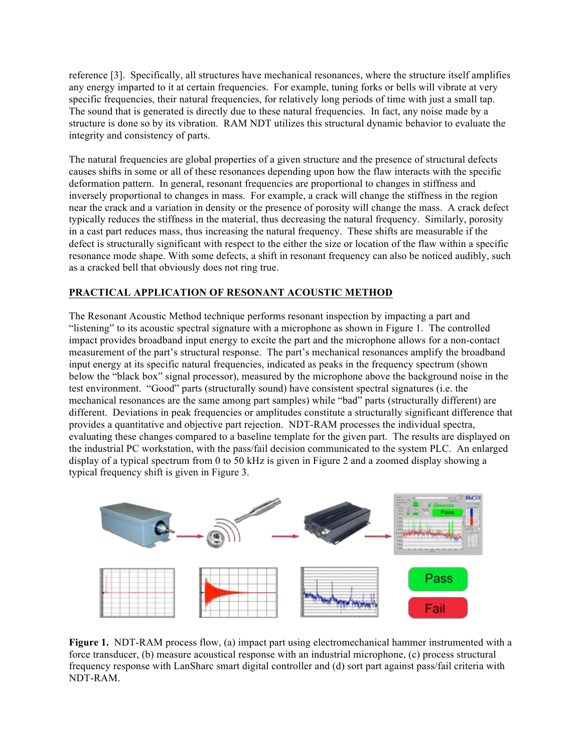reference [3]. Specifically, all structures have mechanical resonances, where the structure itself amplifies any energy imparted to it at certain frequencies. For example, tuning forks or bells will vibrate at very specific frequencies, their natural frequencies, for relatively long periods of time with just a small tap. The sound that is generated is directly due to these natural frequencies. In fact, any noise made by a structure is done so by its vibration. RAM NDT utilizes this structural dynamic behavior to evaluate the integrity and consistency of parts.

The natural frequencies are global properties of a given structure and the presence of structural defects causes shifts in some or all of these resonances depending upon how the flaw interacts with the specific deformation pattern. In general, resonant frequencies are proportional to changes in stiffness and inversely proportional to changes in mass. For example, a crack will change the stiffness in the region near the crack and a variation in density or the presence of porosity will change the mass. A crack defect typically reduces the stiffness in the material, thus decreasing the natural frequency. Similarly, porosity in a cast part reduces mass, thus increasing the natural frequency. These shifts are measurable if the defect is structurally significant with respect to the either the size or location of the flaw within a specific resonance mode shape. With some defects, a shift in resonant frequency can also be noticed audibly, such as a cracked bell that obviously does not ring true.

# **PRACTICAL APPLICATION OF RESONANT ACOUSTIC METHOD**

The Resonant Acoustic Method technique performs resonant inspection by impacting a part and "listening" to its acoustic spectral signature with a microphone as shown in Figure 1. The controlled impact provides broadband input energy to excite the part and the microphone allows for a non-contact measurement of the part's structural response. The part's mechanical resonances amplify the broadband input energy at its specific natural frequencies, indicated as peaks in the frequency spectrum (shown below the "black box" signal processor), measured by the microphone above the background noise in the test environment. "Good" parts (structurally sound) have consistent spectral signatures (i.e. the mechanical resonances are the same among part samples) while "bad" parts (structurally different) are different. Deviations in peak frequencies or amplitudes constitute a structurally significant difference that provides a quantitative and objective part rejection. NDT-RAM processes the individual spectra, evaluating these changes compared to a baseline template for the given part. The results are displayed on the industrial PC workstation, with the pass/fail decision communicated to the system PLC. An enlarged display of a typical spectrum from 0 to 50 kHz is given in Figure 2 and a zoomed display showing a typical frequency shift is given in Figure 3.



**Figure 1.** NDT-RAM process flow, (a) impact part using electromechanical hammer instrumented with a force transducer, (b) measure acoustical response with an industrial microphone, (c) process structural frequency response with LanSharc smart digital controller and (d) sort part against pass/fail criteria with NDT-RAM.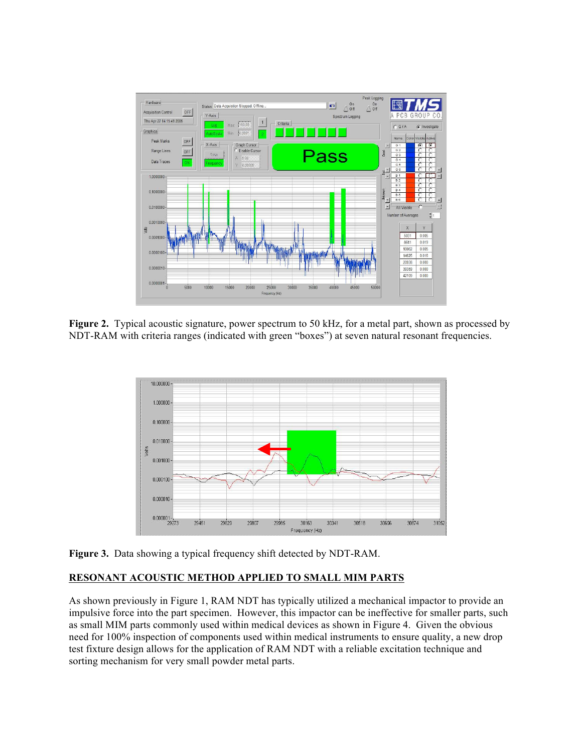

**Figure 2.** Typical acoustic signature, power spectrum to 50 kHz, for a metal part, shown as processed by NDT-RAM with criteria ranges (indicated with green "boxes") at seven natural resonant frequencies.



**Figure 3.** Data showing a typical frequency shift detected by NDT-RAM.

### **RESONANT ACOUSTIC METHOD APPLIED TO SMALL MIM PARTS**

As shown previously in Figure 1, RAM NDT has typically utilized a mechanical impactor to provide an impulsive force into the part specimen. However, this impactor can be ineffective for smaller parts, such as small MIM parts commonly used within medical devices as shown in Figure 4. Given the obvious need for 100% inspection of components used within medical instruments to ensure quality, a new drop test fixture design allows for the application of RAM NDT with a reliable excitation technique and sorting mechanism for very small powder metal parts.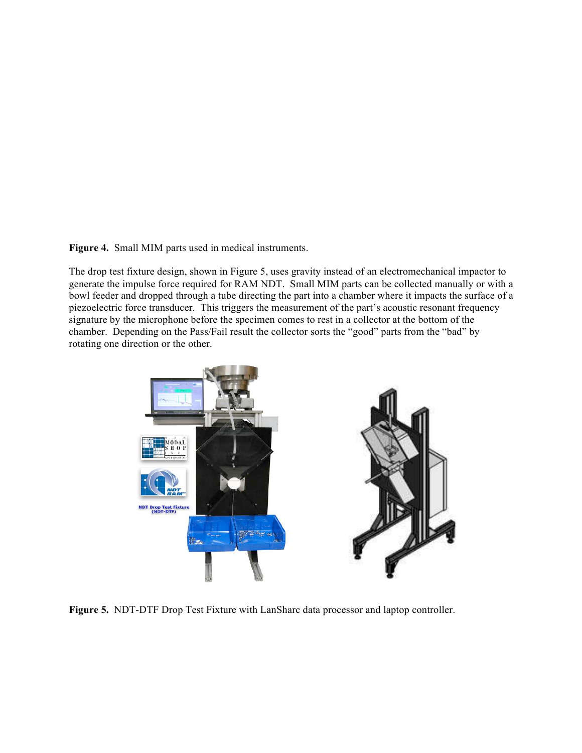**Figure 4.** Small MIM parts used in medical instruments.

The drop test fixture design, shown in Figure 5, uses gravity instead of an electromechanical impactor to generate the impulse force required for RAM NDT. Small MIM parts can be collected manually or with a bowl feeder and dropped through a tube directing the part into a chamber where it impacts the surface of a piezoelectric force transducer. This triggers the measurement of the part's acoustic resonant frequency signature by the microphone before the specimen comes to rest in a collector at the bottom of the chamber. Depending on the Pass/Fail result the collector sorts the "good" parts from the "bad" by rotating one direction or the other.



**Figure 5.** NDT-DTF Drop Test Fixture with LanSharc data processor and laptop controller.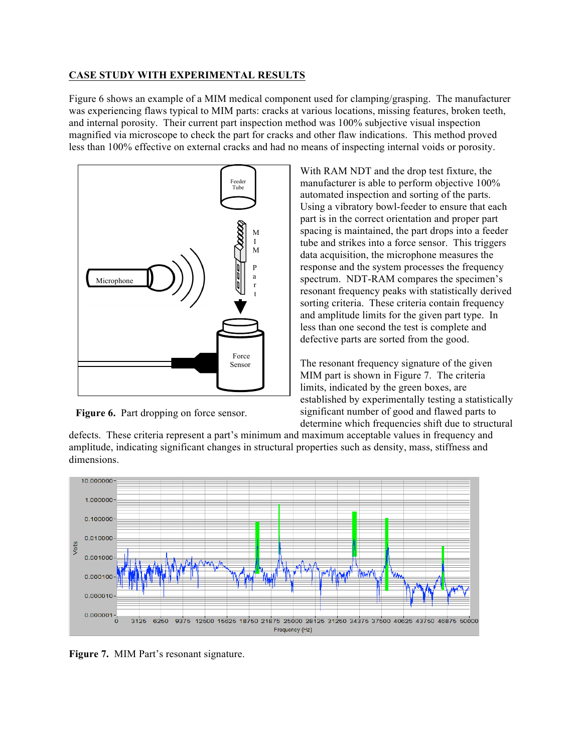### **CASE STUDY WITH EXPERIMENTAL RESULTS**

Figure 6 shows an example of a MIM medical component used for clamping/grasping. The manufacturer was experiencing flaws typical to MIM parts: cracks at various locations, missing features, broken teeth, and internal porosity. Their current part inspection method was 100% subjective visual inspection magnified via microscope to check the part for cracks and other flaw indications. This method proved less than 100% effective on external cracks and had no means of inspecting internal voids or porosity.



Figure 6. Part dropping on force sensor.

With RAM NDT and the drop test fixture, the manufacturer is able to perform objective 100% automated inspection and sorting of the parts. Using a vibratory bowl-feeder to ensure that each part is in the correct orientation and proper part spacing is maintained, the part drops into a feeder tube and strikes into a force sensor. This triggers data acquisition, the microphone measures the response and the system processes the frequency spectrum. NDT-RAM compares the specimen's resonant frequency peaks with statistically derived sorting criteria. These criteria contain frequency and amplitude limits for the given part type. In less than one second the test is complete and defective parts are sorted from the good.

The resonant frequency signature of the given MIM part is shown in Figure 7. The criteria limits, indicated by the green boxes, are established by experimentally testing a statistically significant number of good and flawed parts to determine which frequencies shift due to structural

defects. These criteria represent a part's minimum and maximum acceptable values in frequency and amplitude, indicating significant changes in structural properties such as density, mass, stiffness and dimensions.



**Figure 7.** MIM Part's resonant signature.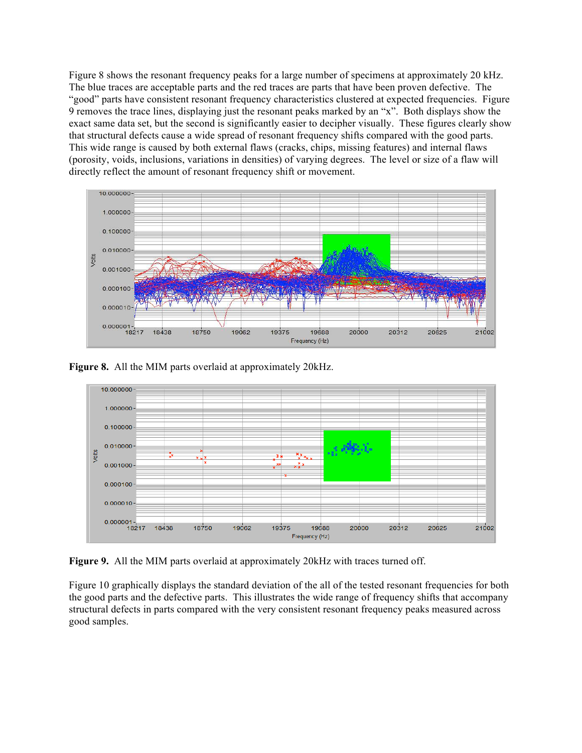Figure 8 shows the resonant frequency peaks for a large number of specimens at approximately 20 kHz. The blue traces are acceptable parts and the red traces are parts that have been proven defective. The "good" parts have consistent resonant frequency characteristics clustered at expected frequencies. Figure 9 removes the trace lines, displaying just the resonant peaks marked by an "x". Both displays show the exact same data set, but the second is significantly easier to decipher visually. These figures clearly show that structural defects cause a wide spread of resonant frequency shifts compared with the good parts. This wide range is caused by both external flaws (cracks, chips, missing features) and internal flaws (porosity, voids, inclusions, variations in densities) of varying degrees. The level or size of a flaw will directly reflect the amount of resonant frequency shift or movement.



**Figure 8.** All the MIM parts overlaid at approximately 20kHz.



**Figure 9.** All the MIM parts overlaid at approximately 20kHz with traces turned off.

Figure 10 graphically displays the standard deviation of the all of the tested resonant frequencies for both the good parts and the defective parts. This illustrates the wide range of frequency shifts that accompany structural defects in parts compared with the very consistent resonant frequency peaks measured across good samples.